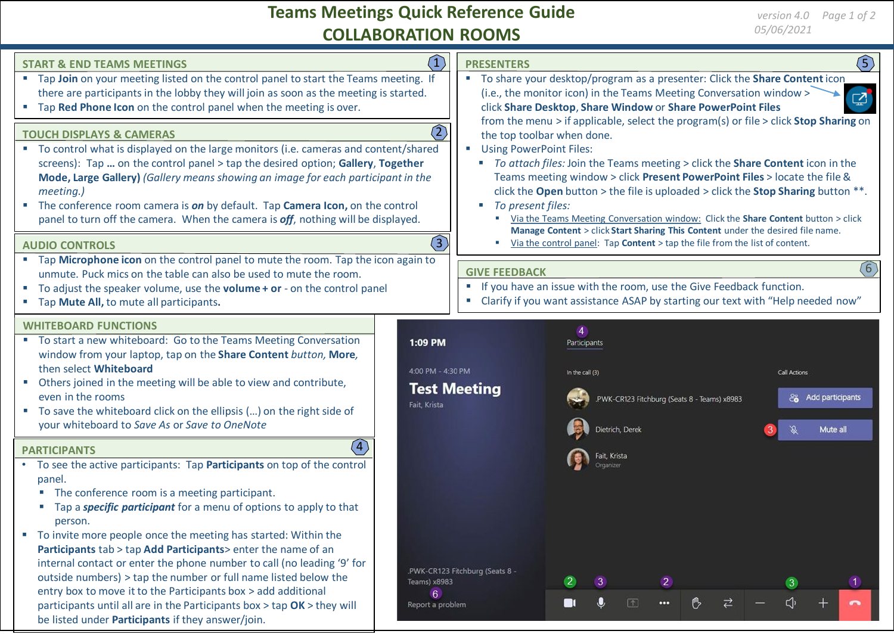# **Teams Meetings Quick Reference Guide COLLABORATION ROOMS**

| (1)<br><b>START &amp; END TEAMS MEETINGS</b><br>" Tap Join on your meeting listed on the control panel to start the Teams meeting. If<br>there are participants in the lobby they will join as soon as the meeting is started.<br>" Tap Red Phone Icon on the control panel when the meeting is over.<br>$\overline{(2)}$<br><b>TOUCH DISPLAYS &amp; CAMERAS</b><br>" To control what is displayed on the large monitors (i.e. cameras and content/shared<br>screens): Tap  on the control panel > tap the desired option; Gallery, Together                                             |                                              | $\circ$<br><b>PRESENTERS</b><br>" To share your desktop/program as a presenter: Click the Share Content icon<br>(i.e., the monitor icon) in the Teams Meeting Conversation window ><br>$\mathbb{Z}$<br>click Share Desktop, Share Window or Share PowerPoint Files<br>from the menu > if applicable, select the program(s) or file > click Stop Sharing on<br>the top toolbar when done.<br><b>Using PowerPoint Files:</b><br>u.<br>" To attach files: Join the Teams meeting > click the Share Content icon in the |                                                                                                   |                                                |
|------------------------------------------------------------------------------------------------------------------------------------------------------------------------------------------------------------------------------------------------------------------------------------------------------------------------------------------------------------------------------------------------------------------------------------------------------------------------------------------------------------------------------------------------------------------------------------------|----------------------------------------------|---------------------------------------------------------------------------------------------------------------------------------------------------------------------------------------------------------------------------------------------------------------------------------------------------------------------------------------------------------------------------------------------------------------------------------------------------------------------------------------------------------------------|---------------------------------------------------------------------------------------------------|------------------------------------------------|
| Mode, Large Gallery) (Gallery means showing an image for each participant in the<br>meeting.)<br>The conference room camera is on by default. Tap Camera Icon, on the control<br>panel to turn off the camera. When the camera is off, nothing will be displayed.<br>$\left(3\right)$                                                                                                                                                                                                                                                                                                    |                                              | Teams meeting window > click Present PowerPoint Files > locate the file &<br>click the Open button > the file is uploaded > click the Stop Sharing button $**$ .<br>To present files:<br>$\mathcal{L}_{\mathcal{A}}$<br>Via the Teams Meeting Conversation window: Click the Share Content button > click<br>m.<br>Manage Content > click Start Sharing This Content under the desired file name.<br>ш                                                                                                              |                                                                                                   |                                                |
| Via the control panel: Tap <b>Content</b> > tap the file from the list of content.<br><b>AUDIO CONTROLS</b>                                                                                                                                                                                                                                                                                                                                                                                                                                                                              |                                              |                                                                                                                                                                                                                                                                                                                                                                                                                                                                                                                     |                                                                                                   |                                                |
| " Tap Microphone icon on the control panel to mute the room. Tap the icon again to<br>unmute. Puck mics on the table can also be used to mute the room.<br>■ To adjust the speaker volume, use the volume + or - on the control panel<br>" Tap Mute All, to mute all participants.                                                                                                                                                                                                                                                                                                       |                                              | (6)<br><b>GIVE FEEDBACK</b><br>" If you have an issue with the room, use the Give Feedback function.<br>" Clarify if you want assistance ASAP by starting our text with "Help needed now"                                                                                                                                                                                                                                                                                                                           |                                                                                                   |                                                |
| <b>WHITEBOARD FUNCTIONS</b>                                                                                                                                                                                                                                                                                                                                                                                                                                                                                                                                                              |                                              |                                                                                                                                                                                                                                                                                                                                                                                                                                                                                                                     | $\overline{4}$                                                                                    |                                                |
| " To start a new whiteboard: Go to the Teams Meeting Conversation<br>window from your laptop, tap on the Share Content button, More,<br>then select Whiteboard<br>• Others joined in the meeting will be able to view and contribute,<br>even in the rooms<br>" To save the whiteboard click on the ellipsis () on the right side of<br>your whiteboard to Save As or Save to OneNote                                                                                                                                                                                                    | 1:09 PM<br>4:00 PM - 4:30 PM<br>Fait. Krista | <b>Test Meeting</b>                                                                                                                                                                                                                                                                                                                                                                                                                                                                                                 | Participants<br>In the call (3)<br>PWK-CR123 Fitchburg (Seats 8 - Teams) x8983<br>Dietrich, Derek | Call Actions<br>& Add participants<br>Mute all |
| (4)<br><b>PARTICIPANTS</b>                                                                                                                                                                                                                                                                                                                                                                                                                                                                                                                                                               |                                              |                                                                                                                                                                                                                                                                                                                                                                                                                                                                                                                     |                                                                                                   |                                                |
| • To see the active participants: Tap Participants on top of the control<br>panel.<br>The conference room is a meeting participant.<br>Tap a specific participant for a menu of options to apply to that<br>$\blacksquare$<br>person.<br>" To invite more people once the meeting has started: Within the<br>Participants tab > tap Add Participants> enter the name of an<br>internal contact or enter the phone number to call (no leading '9' for<br>outside numbers) > tap the number or full name listed below the<br>entry box to move it to the Participants box > add additional | Teams) x8983                                 | .PWK-CR123 Fitchburg (Seats 8 -                                                                                                                                                                                                                                                                                                                                                                                                                                                                                     | 2                                                                                                 |                                                |
| participants until all are in the Participants box > tap OK > they will<br>be listed under Participants if they answer/join.                                                                                                                                                                                                                                                                                                                                                                                                                                                             | 6<br>Report a problem                        |                                                                                                                                                                                                                                                                                                                                                                                                                                                                                                                     | $\Box$<br>$\cdots$                                                                                |                                                |